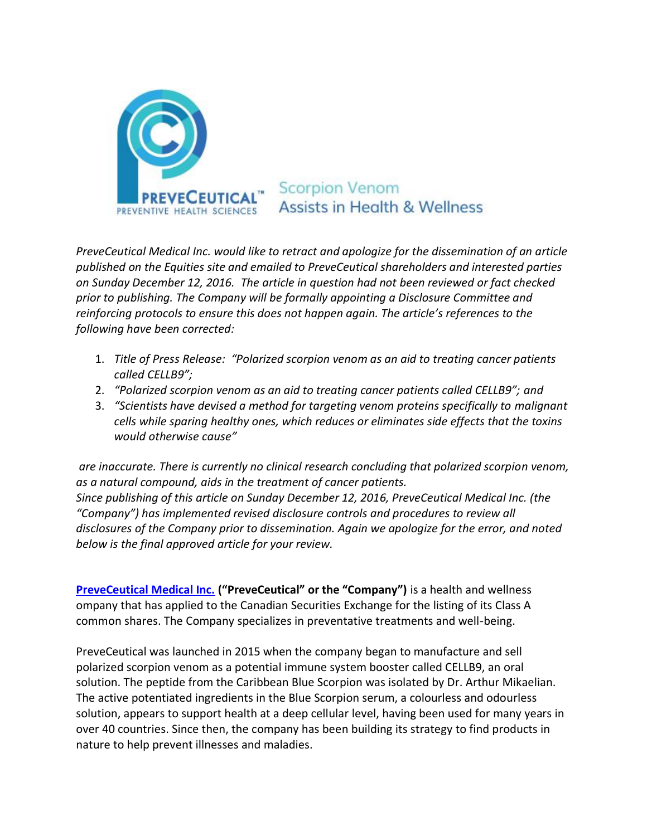

*PreveCeutical Medical Inc. would like to retract and apologize for the dissemination of an article published on the Equities site and emailed to PreveCeutical shareholders and interested parties on Sunday December 12, 2016. The article in question had not been reviewed or fact checked prior to publishing. The Company will be formally appointing a Disclosure Committee and reinforcing protocols to ensure this does not happen again. The article's references to the following have been corrected:* 

- 1. *Title of Press Release: "Polarized scorpion venom as an aid to treating cancer patients called CELLB9";*
- 2. *"Polarized scorpion venom as an aid to treating cancer patients called CELLB9"; and*
- 3. *"Scientists have devised a method for targeting venom proteins specifically to malignant cells while sparing healthy ones, which reduces or eliminates side effects that the toxins would otherwise cause"*

*are inaccurate. There is currently no clinical research concluding that polarized scorpion venom, as a natural compound, aids in the treatment of cancer patients. Since publishing of this article on Sunday December 12, 2016, PreveCeutical Medical Inc. (the "Company") has implemented revised disclosure controls and procedures to review all disclosures of the Company prior to dissemination. Again we apologize for the error, and noted below is the final approved article for your review.*

**[PreveCeutical Medical Inc.](https://preveceutical.com/) ("PreveCeutical" or the "Company")** is a health and wellness ompany that has applied to the Canadian Securities Exchange for the listing of its Class A common shares. The Company specializes in preventative treatments and well-being.

PreveCeutical was launched in 2015 when the company began to manufacture and sell polarized scorpion venom as a potential immune system booster called CELLB9, an oral solution. The peptide from the Caribbean Blue Scorpion was isolated by Dr. Arthur Mikaelian. The active potentiated ingredients in the Blue Scorpion serum, a colourless and odourless solution, appears to support health at a deep cellular level, having been used for many years in over 40 countries. Since then, the company has been building its strategy to find products in nature to help prevent illnesses and maladies.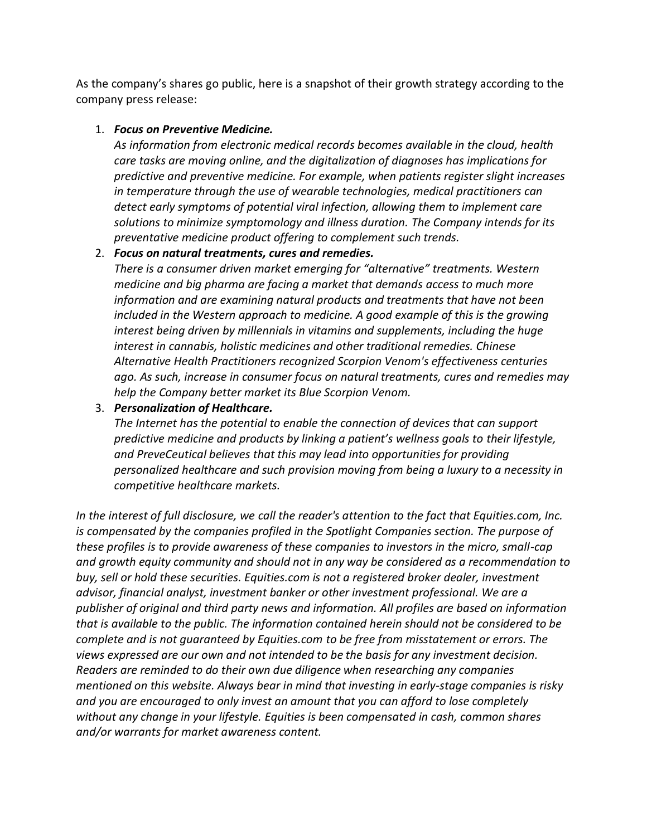As the company's shares go public, here is a snapshot of their growth strategy according to the company press release:

## 1. *Focus on Preventive Medicine.*

*As information from electronic medical records becomes available in the cloud, health care tasks are moving online, and the digitalization of diagnoses has implications for predictive and preventive medicine. For example, when patients register slight increases in temperature through the use of wearable technologies, medical practitioners can detect early symptoms of potential viral infection, allowing them to implement care solutions to minimize symptomology and illness duration. The Company intends for its preventative medicine product offering to complement such trends.*

## 2. *Focus on natural treatments, cures and remedies.*

*There is a consumer driven market emerging for "alternative" treatments. Western medicine and big pharma are facing a market that demands access to much more information and are examining natural products and treatments that have not been included in the Western approach to medicine. A good example of this is the growing interest being driven by millennials in vitamins and supplements, including the huge interest in cannabis, holistic medicines and other traditional remedies. Chinese Alternative Health Practitioners recognized Scorpion Venom's effectiveness centuries ago. As such, increase in consumer focus on natural treatments, cures and remedies may help the Company better market its Blue Scorpion Venom.*

## 3. *Personalization of Healthcare.*

*The Internet has the potential to enable the connection of devices that can support predictive medicine and products by linking a patient's wellness goals to their lifestyle, and PreveCeutical believes that this may lead into opportunities for providing personalized healthcare and such provision moving from being a luxury to a necessity in competitive healthcare markets.*

*In the interest of full disclosure, we call the reader's attention to the fact that Equities.com, Inc. is compensated by the companies profiled in the Spotlight Companies section. The purpose of these profiles is to provide awareness of these companies to investors in the micro, small-cap and growth equity community and should not in any way be considered as a recommendation to buy, sell or hold these securities. Equities.com is not a registered broker dealer, investment advisor, financial analyst, investment banker or other investment professional. We are a publisher of original and third party news and information. All profiles are based on information that is available to the public. The information contained herein should not be considered to be complete and is not guaranteed by Equities.com to be free from misstatement or errors. The views expressed are our own and not intended to be the basis for any investment decision. Readers are reminded to do their own due diligence when researching any companies mentioned on this website. Always bear in mind that investing in early-stage companies is risky and you are encouraged to only invest an amount that you can afford to lose completely without any change in your lifestyle. Equities is been compensated in cash, common shares and/or warrants for market awareness content.*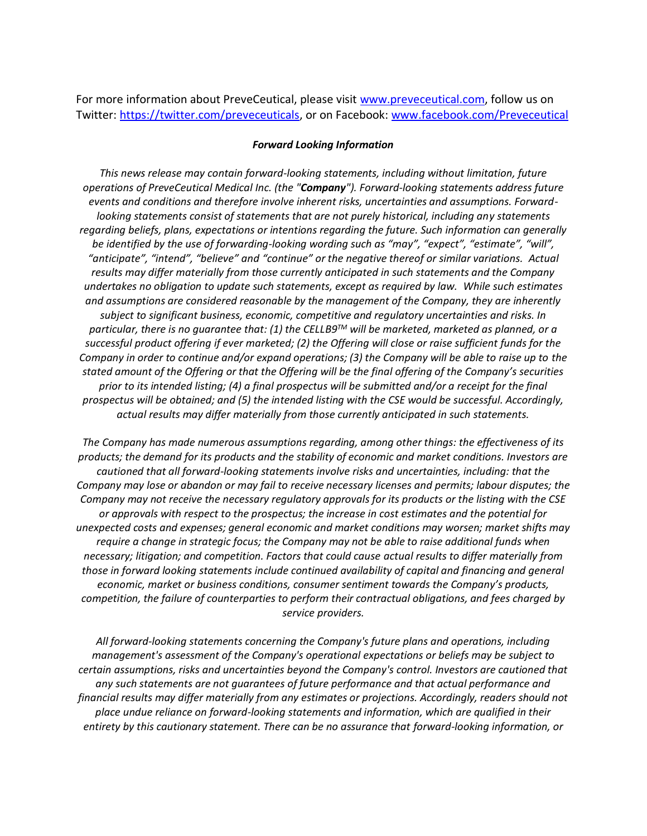For more information about PreveCeutical, please visit [www.preveceutical.com,](http://www.preveceutical.com/) follow us on Twitter: [https://twitter.com/preveceuticals,](https://twitter.com/preveceuticals) or on Facebook: [www.facebook.com/Preveceutical](http://www.facebook.com/Preveceutical)

## *Forward Looking Information*

*This news release may contain forward-looking statements, including without limitation, future operations of PreveCeutical Medical Inc. (the "Company"). Forward-looking statements address future events and conditions and therefore involve inherent risks, uncertainties and assumptions. Forwardlooking statements consist of statements that are not purely historical, including any statements regarding beliefs, plans, expectations or intentions regarding the future. Such information can generally be identified by the use of forwarding-looking wording such as "may", "expect", "estimate", "will", "anticipate", "intend", "believe" and "continue" or the negative thereof or similar variations. Actual results may differ materially from those currently anticipated in such statements and the Company undertakes no obligation to update such statements, except as required by law. While such estimates and assumptions are considered reasonable by the management of the Company, they are inherently subject to significant business, economic, competitive and regulatory uncertainties and risks. In particular, there is no guarantee that: (1) the CELLB9TM will be marketed, marketed as planned, or a successful product offering if ever marketed; (2) the Offering will close or raise sufficient funds for the Company in order to continue and/or expand operations; (3) the Company will be able to raise up to the stated amount of the Offering or that the Offering will be the final offering of the Company's securities prior to its intended listing; (4) a final prospectus will be submitted and/or a receipt for the final prospectus will be obtained; and (5) the intended listing with the CSE would be successful. Accordingly, actual results may differ materially from those currently anticipated in such statements.* 

*The Company has made numerous assumptions regarding, among other things: the effectiveness of its products; the demand for its products and the stability of economic and market conditions. Investors are cautioned that all forward-looking statements involve risks and uncertainties, including: that the Company may lose or abandon or may fail to receive necessary licenses and permits; labour disputes; the Company may not receive the necessary regulatory approvals for its products or the listing with the CSE or approvals with respect to the prospectus; the increase in cost estimates and the potential for unexpected costs and expenses; general economic and market conditions may worsen; market shifts may require a change in strategic focus; the Company may not be able to raise additional funds when necessary; litigation; and competition. Factors that could cause actual results to differ materially from those in forward looking statements include continued availability of capital and financing and general economic, market or business conditions, consumer sentiment towards the Company's products, competition, the failure of counterparties to perform their contractual obligations, and fees charged by service providers.* 

*All forward-looking statements concerning the Company's future plans and operations, including management's assessment of the Company's operational expectations or beliefs may be subject to certain assumptions, risks and uncertainties beyond the Company's control. Investors are cautioned that any such statements are not guarantees of future performance and that actual performance and financial results may differ materially from any estimates or projections. Accordingly, readers should not place undue reliance on forward-looking statements and information, which are qualified in their entirety by this cautionary statement. There can be no assurance that forward-looking information, or*